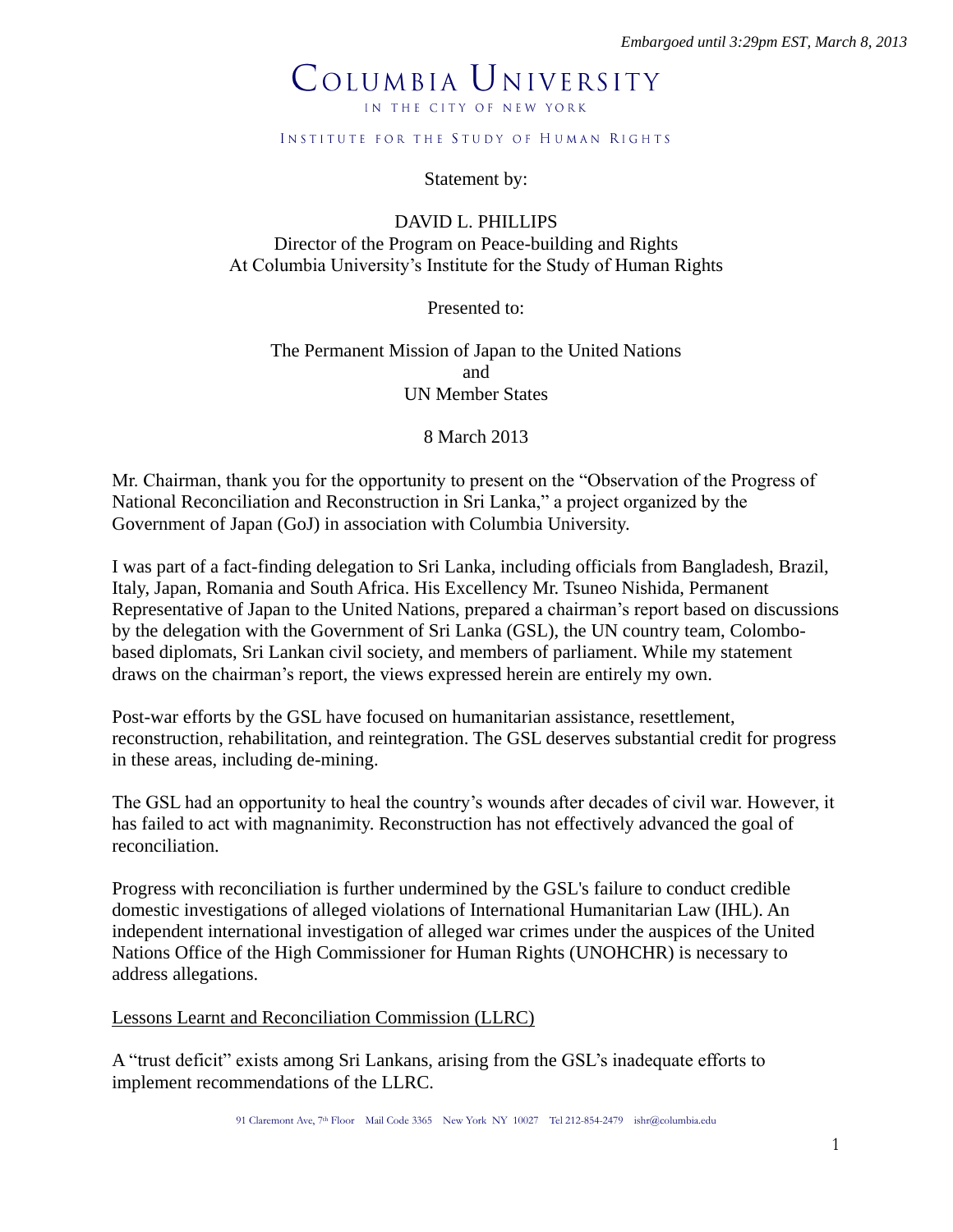# COLUMBIA UNIVERSITY IN THE CITY OF NEW YORK

#### INSTITUTE FOR THE STUDY OF HUMAN RIGHTS

Statement by:

DAVID L. PHILLIPS Director of the Program on Peace-building and Rights At Columbia University's Institute for the Study of Human Rights

Presented to:

The Permanent Mission of Japan to the United Nations and UN Member States

8 March 2013

Mr. Chairman, thank you for the opportunity to present on the "Observation of the Progress of National Reconciliation and Reconstruction in Sri Lanka," a project organized by the Government of Japan (GoJ) in association with Columbia University.

I was part of a fact-finding delegation to Sri Lanka, including officials from Bangladesh, Brazil, Italy, Japan, Romania and South Africa. His Excellency Mr. Tsuneo Nishida, Permanent Representative of Japan to the United Nations, prepared a chairman's report based on discussions by the delegation with the Government of Sri Lanka (GSL), the UN country team, Colombobased diplomats, Sri Lankan civil society, and members of parliament. While my statement draws on the chairman's report, the views expressed herein are entirely my own.

Post-war efforts by the GSL have focused on humanitarian assistance, resettlement, reconstruction, rehabilitation, and reintegration. The GSL deserves substantial credit for progress in these areas, including de-mining.

The GSL had an opportunity to heal the country's wounds after decades of civil war. However, it has failed to act with magnanimity. Reconstruction has not effectively advanced the goal of reconciliation.

Progress with reconciliation is further undermined by the GSL's failure to conduct credible domestic investigations of alleged violations of International Humanitarian Law (IHL). An independent international investigation of alleged war crimes under the auspices of the United Nations Office of the High Commissioner for Human Rights (UNOHCHR) is necessary to address allegations.

Lessons Learnt and Reconciliation Commission (LLRC)

A "trust deficit" exists among Sri Lankans, arising from the GSL's inadequate efforts to implement recommendations of the LLRC.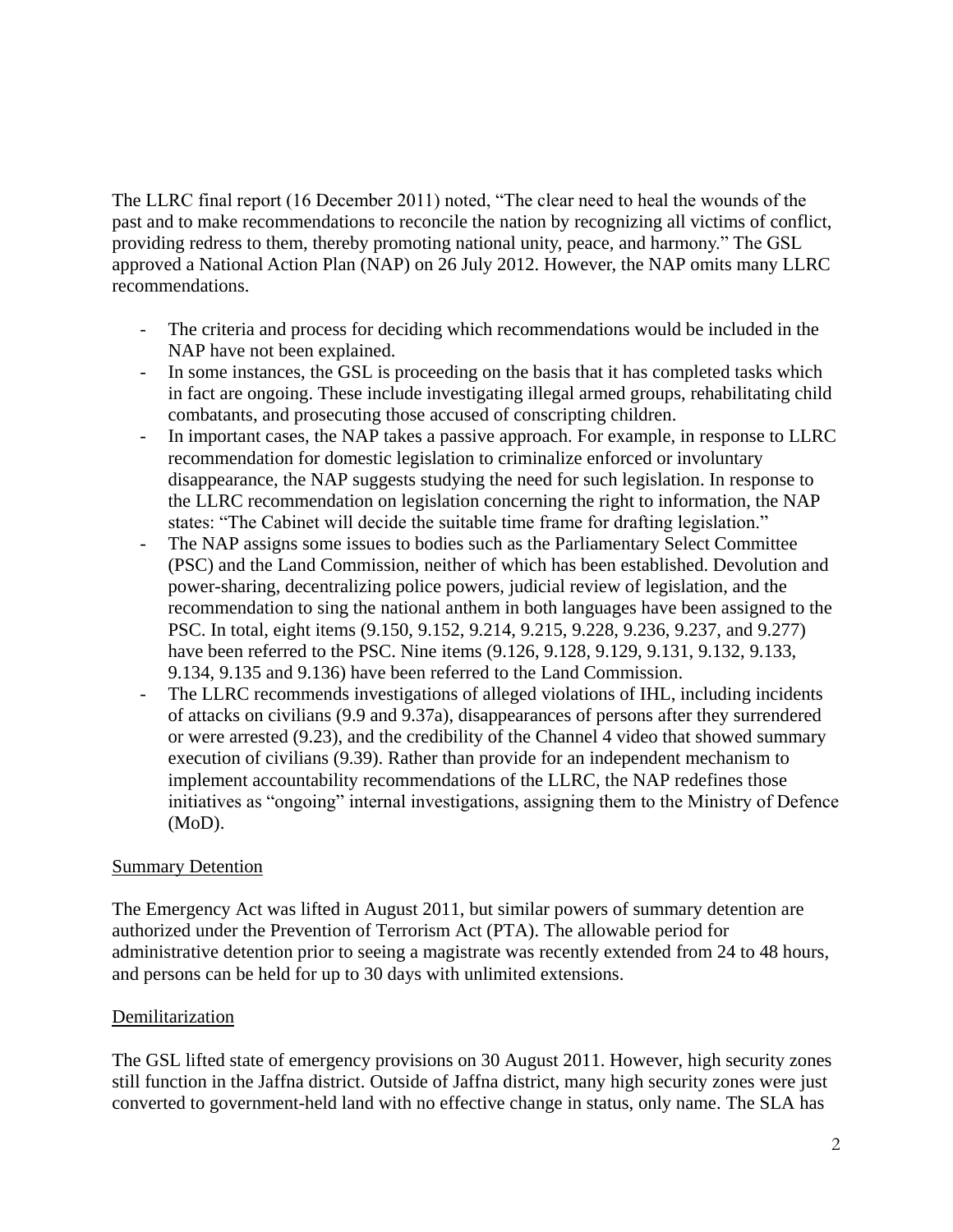The LLRC final report (16 December 2011) noted, "The clear need to heal the wounds of the past and to make recommendations to reconcile the nation by recognizing all victims of conflict, providing redress to them, thereby promoting national unity, peace, and harmony." The GSL approved a National Action Plan (NAP) on 26 July 2012. However, the NAP omits many LLRC recommendations.

- The criteria and process for deciding which recommendations would be included in the NAP have not been explained.
- In some instances, the GSL is proceeding on the basis that it has completed tasks which in fact are ongoing. These include investigating illegal armed groups, rehabilitating child combatants, and prosecuting those accused of conscripting children.
- In important cases, the NAP takes a passive approach. For example, in response to LLRC recommendation for domestic legislation to criminalize enforced or involuntary disappearance, the NAP suggests studying the need for such legislation. In response to the LLRC recommendation on legislation concerning the right to information, the NAP states: "The Cabinet will decide the suitable time frame for drafting legislation."
- The NAP assigns some issues to bodies such as the Parliamentary Select Committee (PSC) and the Land Commission, neither of which has been established. Devolution and power-sharing, decentralizing police powers, judicial review of legislation, and the recommendation to sing the national anthem in both languages have been assigned to the PSC. In total, eight items (9.150, 9.152, 9.214, 9.215, 9.228, 9.236, 9.237, and 9.277) have been referred to the PSC. Nine items (9.126, 9.128, 9.129, 9.131, 9.132, 9.133, 9.134, 9.135 and 9.136) have been referred to the Land Commission.
- The LLRC recommends investigations of alleged violations of IHL, including incidents of attacks on civilians (9.9 and 9.37a), disappearances of persons after they surrendered or were arrested (9.23), and the credibility of the Channel 4 video that showed summary execution of civilians (9.39). Rather than provide for an independent mechanism to implement accountability recommendations of the LLRC, the NAP redefines those initiatives as "ongoing" internal investigations, assigning them to the Ministry of Defence (MoD).

## Summary Detention

The Emergency Act was lifted in August 2011, but similar powers of summary detention are authorized under the Prevention of Terrorism Act (PTA). The allowable period for administrative detention prior to seeing a magistrate was recently extended from 24 to 48 hours, and persons can be held for up to 30 days with unlimited extensions.

## Demilitarization

The GSL lifted state of emergency provisions on 30 August 2011. However, high security zones still function in the Jaffna district. Outside of Jaffna district, many high security zones were just converted to government-held land with no effective change in status, only name. The SLA has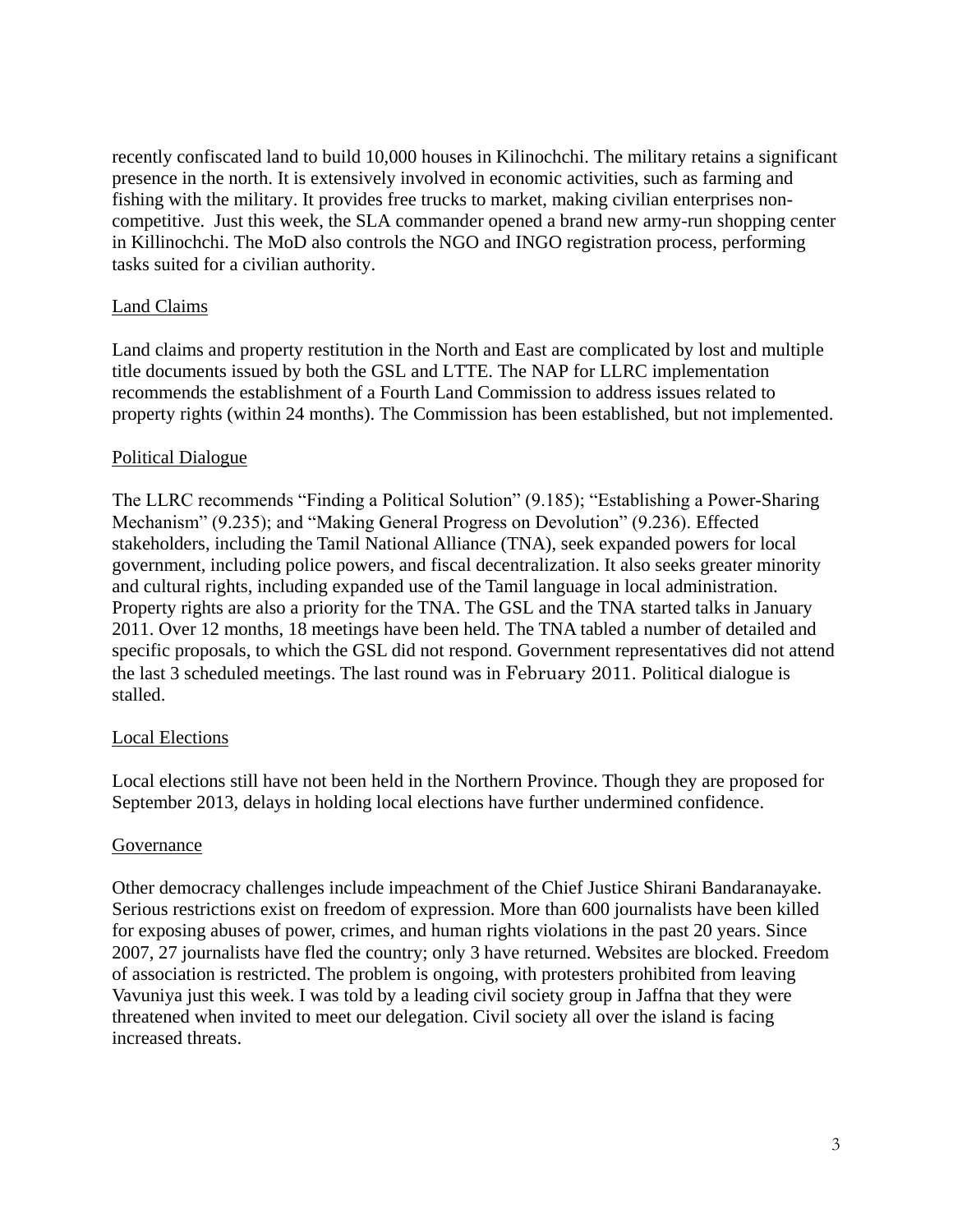recently confiscated land to build 10,000 houses in Kilinochchi. The military retains a significant presence in the north. It is extensively involved in economic activities, such as farming and fishing with the military. It provides free trucks to market, making civilian enterprises noncompetitive. Just this week, the SLA commander opened a brand new army-run shopping center in Killinochchi. The MoD also controls the NGO and INGO registration process, performing tasks suited for a civilian authority.

# Land Claims

Land claims and property restitution in the North and East are complicated by lost and multiple title documents issued by both the GSL and LTTE. The NAP for LLRC implementation recommends the establishment of a Fourth Land Commission to address issues related to property rights (within 24 months). The Commission has been established, but not implemented.

# Political Dialogue

The LLRC recommends "Finding a Political Solution" (9.185); "Establishing a Power-Sharing Mechanism" (9.235); and "Making General Progress on Devolution" (9.236). Effected stakeholders, including the Tamil National Alliance (TNA), seek expanded powers for local government, including police powers, and fiscal decentralization. It also seeks greater minority and cultural rights, including expanded use of the Tamil language in local administration. Property rights are also a priority for the TNA. The GSL and the TNA started talks in January 2011. Over 12 months, 18 meetings have been held. The TNA tabled a number of detailed and specific proposals, to which the GSL did not respond. Government representatives did not attend the last 3 scheduled meetings. The last round was in February 2011. Political dialogue is stalled.

## Local Elections

Local elections still have not been held in the Northern Province. Though they are proposed for September 2013, delays in holding local elections have further undermined confidence.

## Governance

Other democracy challenges include impeachment of the Chief Justice Shirani Bandaranayake. Serious restrictions exist on freedom of expression. More than 600 journalists have been killed for exposing abuses of power, crimes, and human rights violations in the past 20 years. Since 2007, 27 journalists have fled the country; only 3 have returned. Websites are blocked. Freedom of association is restricted. The problem is ongoing, with protesters prohibited from leaving Vavuniya just this week. I was told by a leading civil society group in Jaffna that they were threatened when invited to meet our delegation. Civil society all over the island is facing increased threats.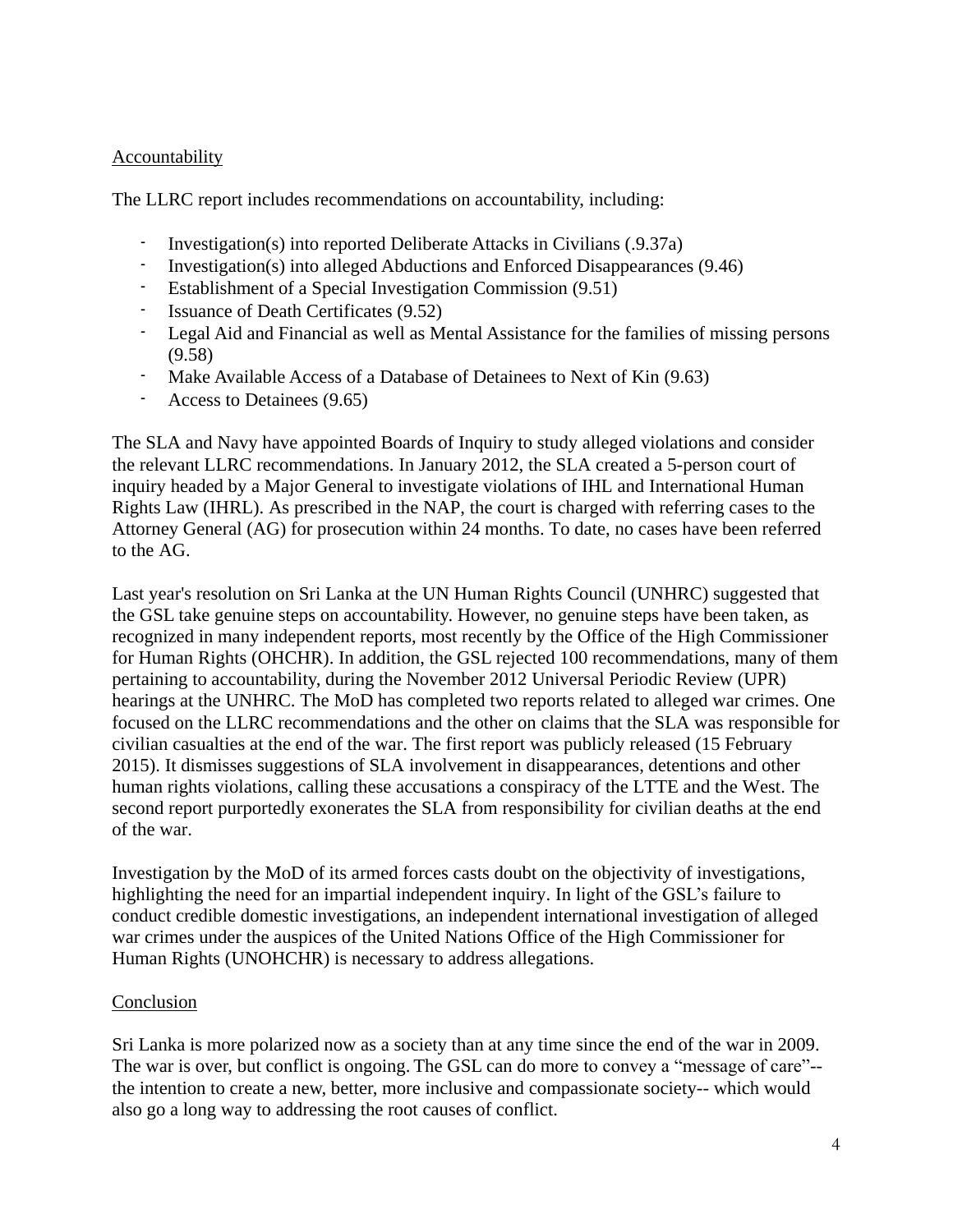# **Accountability**

The LLRC report includes recommendations on accountability, including:

- Investigation(s) into reported Deliberate Attacks in Civilians (.9.37a)
- Investigation(s) into alleged Abductions and Enforced Disappearances (9.46)
- Establishment of a Special Investigation Commission (9.51)
- Issuance of Death Certificates (9.52)
- Legal Aid and Financial as well as Mental Assistance for the families of missing persons (9.58)
- Make Available Access of a Database of Detainees to Next of Kin (9.63)
- Access to Detainees (9.65)

The SLA and Navy have appointed Boards of Inquiry to study alleged violations and consider the relevant LLRC recommendations. In January 2012, the SLA created a 5-person court of inquiry headed by a Major General to investigate violations of IHL and International Human Rights Law (IHRL). As prescribed in the NAP, the court is charged with referring cases to the Attorney General (AG) for prosecution within 24 months. To date, no cases have been referred to the AG.

Last year's resolution on Sri Lanka at the UN Human Rights Council (UNHRC) suggested that the GSL take genuine steps on accountability. However, no genuine steps have been taken, as recognized in many independent reports, most recently by the Office of the High Commissioner for Human Rights (OHCHR). In addition, the GSL rejected 100 recommendations, many of them pertaining to accountability, during the November 2012 Universal Periodic Review (UPR) hearings at the UNHRC. The MoD has completed two reports related to alleged war crimes. One focused on the LLRC recommendations and the other on claims that the SLA was responsible for civilian casualties at the end of the war. The first report was publicly released (15 February 2015). It dismisses suggestions of SLA involvement in disappearances, detentions and other human rights violations, calling these accusations a conspiracy of the LTTE and the West. The second report purportedly exonerates the SLA from responsibility for civilian deaths at the end of the war.

Investigation by the MoD of its armed forces casts doubt on the objectivity of investigations, highlighting the need for an impartial independent inquiry. In light of the GSL's failure to conduct credible domestic investigations, an independent international investigation of alleged war crimes under the auspices of the United Nations Office of the High Commissioner for Human Rights (UNOHCHR) is necessary to address allegations.

# Conclusion

Sri Lanka is more polarized now as a society than at any time since the end of the war in 2009. The war is over, but conflict is ongoing. The GSL can do more to convey a "message of care"- the intention to create a new, better, more inclusive and compassionate society-- which would also go a long way to addressing the root causes of conflict.